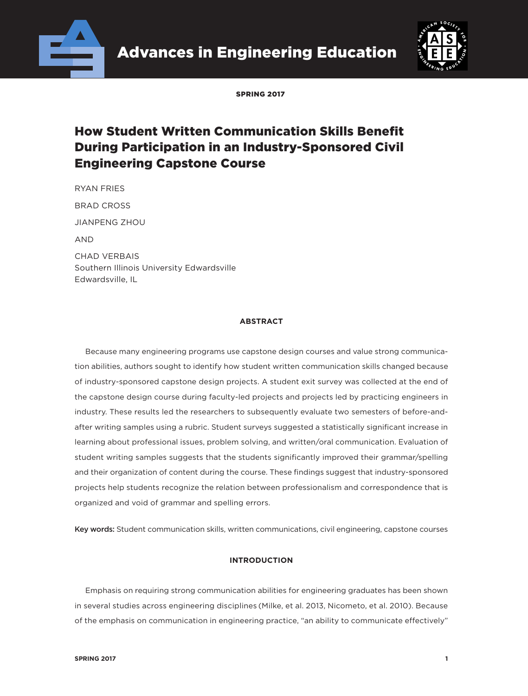



SPDING 2017

# How Student Written Communication Skills Benefit During Participation in an Industry-Sponsored Civil Engineering Capstone Course

RYAN FRIES BRAD CROSS JIANPENG ZHOU AND CHAD VERBAIS Southern Illinois University Edwardsville Edwardsville, IL

# **ABSTRACT**

Because many engineering programs use capstone design courses and value strong communication abilities, authors sought to identify how student written communication skills changed because of industry-sponsored capstone design projects. A student exit survey was collected at the end of the capstone design course during faculty-led projects and projects led by practicing engineers in industry. These results led the researchers to subsequently evaluate two semesters of before-andafter writing samples using a rubric. Student surveys suggested a statistically significant increase in learning about professional issues, problem solving, and written/oral communication. Evaluation of student writing samples suggests that the students significantly improved their grammar/spelling and their organization of content during the course. These findings suggest that industry-sponsored projects help students recognize the relation between professionalism and correspondence that is organized and void of grammar and spelling errors.

Key words: Student communication skills, written communications, civil engineering, capstone courses

# **INTRODUCTION**

Emphasis on requiring strong communication abilities for engineering graduates has been shown in several studies across engineering disciplines (Milke, et al. 2013, Nicometo, et al. 2010). Because of the emphasis on communication in engineering practice, "an ability to communicate effectively"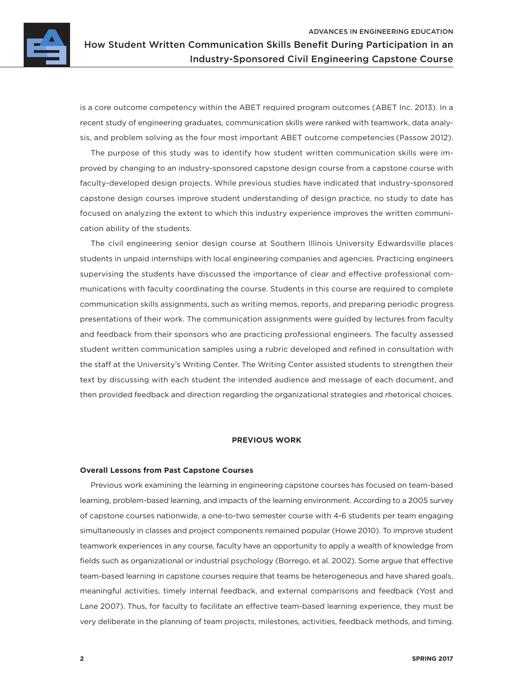

is a core outcome competency within the ABET required program outcomes (ABET Inc. 2013). In a recent study of engineering graduates, communication skills were ranked with teamwork, data analysis, and problem solving as the four most important ABET outcome competencies (Passow 2012).

The purpose of this study was to identify how student written communication skills were improved by changing to an industry-sponsored capstone design course from a capstone course with faculty-developed design projects. While previous studies have indicated that industry-sponsored capstone design courses improve student understanding of design practice, no study to date has focused on analyzing the extent to which this industry experience improves the written communication ability of the students.

The civil engineering senior design course at Southern Illinois University Edwardsville places students in unpaid internships with local engineering companies and agencies. Practicing engineers supervising the students have discussed the importance of clear and effective professional communications with faculty coordinating the course. Students in this course are required to complete communication skills assignments, such as writing memos, reports, and preparing periodic progress presentations of their work. The communication assignments were guided by lectures from faculty and feedback from their sponsors who are practicing professional engineers. The faculty assessed student written communication samples using a rubric developed and refined in consultation with the staff at the University's Writing Center. The Writing Center assisted students to strengthen their text by discussing with each student the intended audience and message of each document, and then provided feedback and direction regarding the organizational strategies and rhetorical choices.

## **PREVIOUS WORK**

#### **Overall Lessons from Past Capstone Courses**

Previous work examining the learning in engineering capstone courses has focused on team-based learning, problem-based learning, and impacts of the learning environment. According to a 2005 survey of capstone courses nationwide, a one-to-two semester course with 4-6 students per team engaging simultaneously in classes and project components remained popular (Howe 2010). To improve student teamwork experiences in any course, faculty have an opportunity to apply a wealth of knowledge from fields such as organizational or industrial psychology (Borrego, et al. 2002). Some argue that effective team-based learning in capstone courses require that teams be heterogeneous and have shared goals, meaningful activities, timely internal feedback, and external comparisons and feedback (Yost and Lane 2007). Thus, for faculty to facilitate an effective team-based learning experience, they must be very deliberate in the planning of team projects, milestones, activities, feedback methods, and timing.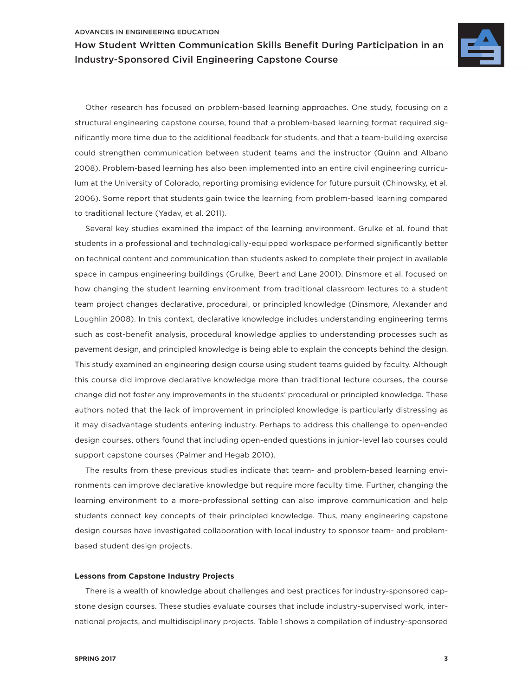

Other research has focused on problem-based learning approaches. One study, focusing on a structural engineering capstone course, found that a problem-based learning format required significantly more time due to the additional feedback for students, and that a team-building exercise could strengthen communication between student teams and the instructor (Quinn and Albano 2008). Problem-based learning has also been implemented into an entire civil engineering curriculum at the University of Colorado, reporting promising evidence for future pursuit (Chinowsky, et al. 2006). Some report that students gain twice the learning from problem-based learning compared to traditional lecture (Yadav, et al. 2011).

Several key studies examined the impact of the learning environment. Grulke et al. found that students in a professional and technologically-equipped workspace performed significantly better on technical content and communication than students asked to complete their project in available space in campus engineering buildings (Grulke, Beert and Lane 2001). Dinsmore et al. focused on how changing the student learning environment from traditional classroom lectures to a student team project changes declarative, procedural, or principled knowledge (Dinsmore, Alexander and Loughlin 2008). In this context, declarative knowledge includes understanding engineering terms such as cost-benefit analysis, procedural knowledge applies to understanding processes such as pavement design, and principled knowledge is being able to explain the concepts behind the design. This study examined an engineering design course using student teams guided by faculty. Although this course did improve declarative knowledge more than traditional lecture courses, the course change did not foster any improvements in the students' procedural or principled knowledge. These authors noted that the lack of improvement in principled knowledge is particularly distressing as it may disadvantage students entering industry. Perhaps to address this challenge to open-ended design courses, others found that including open-ended questions in junior-level lab courses could support capstone courses (Palmer and Hegab 2010).

The results from these previous studies indicate that team- and problem-based learning environments can improve declarative knowledge but require more faculty time. Further, changing the learning environment to a more-professional setting can also improve communication and help students connect key concepts of their principled knowledge. Thus, many engineering capstone design courses have investigated collaboration with local industry to sponsor team- and problembased student design projects.

#### **Lessons from Capstone Industry Projects**

There is a wealth of knowledge about challenges and best practices for industry-sponsored capstone design courses. These studies evaluate courses that include industry-supervised work, international projects, and multidisciplinary projects. [Table 1](#page-3-0) shows a compilation of industry-sponsored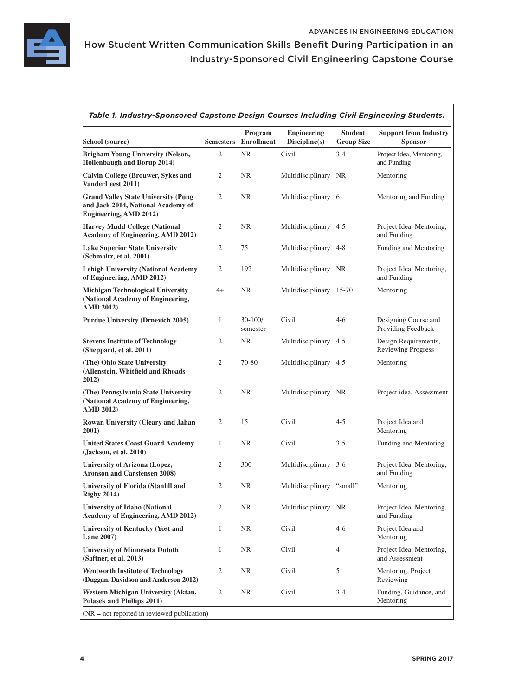

# Industry-Sponsored Civil Engineering Capstone Course

<span id="page-3-0"></span>

| Table 1. Industry-Sponsored Capstone Design Courses Including Civil Engineering Students. |
|-------------------------------------------------------------------------------------------|
|                                                                                           |

| School (source)                                                                                            |                | Program<br><b>Semesters</b> Enrollment | <b>Engineering</b><br>Discipline(s) | <b>Student</b><br><b>Group Size</b> | <b>Support from Industry</b><br><b>Sponsor</b>    |
|------------------------------------------------------------------------------------------------------------|----------------|----------------------------------------|-------------------------------------|-------------------------------------|---------------------------------------------------|
| <b>Brigham Young University (Nelson,</b><br>Hollenbaugh and Borup 2014)                                    | 2              | NR                                     | Civil                               | $3 - 4$                             | Project Idea, Mentoring,<br>and Funding           |
| <b>Calvin College (Brouwer, Sykes and</b><br>VanderLeest 2011)                                             | 2              | <b>NR</b>                              | Multidisciplinary NR                |                                     | Mentoring                                         |
| <b>Grand Valley State University (Pung</b><br>and Jack 2014, National Academy of<br>Engineering, AMD 2012) | 2              | <b>NR</b>                              | Multidisciplinary 6                 |                                     | Mentoring and Funding                             |
| <b>Harvey Mudd College (National</b><br>Academy of Engineering, AMD 2012)                                  | 2              | <b>NR</b>                              | Multidisciplinary 4-5               |                                     | Project Idea, Mentoring,<br>and Funding           |
| <b>Lake Superior State University</b><br>(Schmaltz, et al. 2001)                                           | 2              | 75                                     | Multidisciplinary 4-8               |                                     | Funding and Mentoring                             |
| <b>Lehigh University (National Academy</b><br>of Engineering, AMD 2012)                                    | 2              | 192                                    | Multidisciplinary NR                |                                     | Project Idea, Mentoring,<br>and Funding           |
| <b>Michigan Technological University</b><br>(National Academy of Engineering,<br><b>AMD 2012)</b>          | $4+$           | NR                                     | Multidisciplinary 15-70             |                                     | Mentoring                                         |
| <b>Purdue University (Drnevich 2005)</b>                                                                   | $\mathbf{1}$   | $30 - 100/$<br>semester                | Civil                               | $4-6$                               | Designing Course and<br>Providing Feedback        |
| <b>Stevens Institute of Technology</b><br>(Sheppard, et al. 2011)                                          | 2              | NR.                                    | Multidisciplinary 4-5               |                                     | Design Requirements,<br><b>Reviewing Progress</b> |
| (The) Ohio State University<br>(Allenstein, Whitfield and Rhoads<br>2012)                                  | 2              | 70-80                                  | Multidisciplinary 4-5               |                                     | Mentoring                                         |
| (The) Pennsylvania State University<br>(National Academy of Engineering,<br><b>AMD 2012)</b>               | $\overline{2}$ | NR                                     | Multidisciplinary NR                |                                     | Project idea, Assessment                          |
| Rowan University (Cleary and Jahan<br>2001)                                                                | 2              | 15                                     | Civil                               | $4 - 5$                             | Project Idea and<br>Mentoring                     |
| <b>United States Coast Guard Academy</b><br>(Jackson, et al. 2010)                                         | $\mathbf{1}$   | NR                                     | Civil                               | $3 - 5$                             | Funding and Mentoring                             |
| University of Arizona (Lopez,<br><b>Aronson and Carstensen 2008)</b>                                       | 2              | 300                                    | Multidisciplinary 3-6               |                                     | Project Idea, Mentoring,<br>and Funding           |
| <b>University of Florida (Stanfill and</b><br><b>Rigby 2014)</b>                                           | 2              | NR                                     | Multidisciplinary "small"           |                                     | Mentoring                                         |
| <b>University of Idaho (National</b><br>Academy of Engineering, AMD 2012)                                  | 2              | NR                                     | Multidisciplinary NR                |                                     | Project Idea, Mentoring,<br>and Funding           |
| <b>University of Kentucky (Yost and</b><br><b>Lane 2007)</b>                                               | $\mathbf{1}$   | ${\rm NR}$                             | Civil                               | $4 - 6$                             | Project Idea and<br>Mentoring                     |
| <b>University of Minnesota Duluth</b><br>(Saftner, et al. 2013)                                            | $\mathbf{1}$   | NR                                     | Civil                               | 4                                   | Project Idea, Mentoring,<br>and Assessment        |
| <b>Wentworth Institute of Technology</b><br>(Duggan, Davidson and Anderson 2012)                           | $\overline{c}$ | NR                                     | Civil                               | 5                                   | Mentoring, Project<br>Reviewing                   |
| Western Michigan University (Aktan,<br>Polasek and Phillips 2011)                                          | $\mathbf{2}$   | NR                                     | Civil                               | $3-4$                               | Funding, Guidance, and<br>Mentoring               |
| $(NR = not reported in reviewed publication)$                                                              |                |                                        |                                     |                                     |                                                   |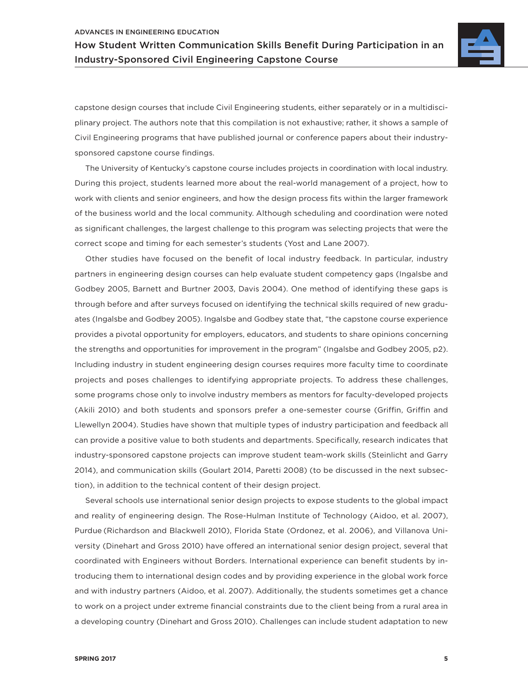#### ADVANCES IN ENGINEERING EDUCATION

How Student Written Communication Skills Benefit During Participation in an Industry-Sponsored Civil Engineering Capstone Course



capstone design courses that include Civil Engineering students, either separately or in a multidisciplinary project. The authors note that this compilation is not exhaustive; rather, it shows a sample of Civil Engineering programs that have published journal or conference papers about their industrysponsored capstone course findings.

The University of Kentucky's capstone course includes projects in coordination with local industry. During this project, students learned more about the real-world management of a project, how to work with clients and senior engineers, and how the design process fits within the larger framework of the business world and the local community. Although scheduling and coordination were noted as significant challenges, the largest challenge to this program was selecting projects that were the correct scope and timing for each semester's students (Yost and Lane 2007).

Other studies have focused on the benefit of local industry feedback. In particular, industry partners in engineering design courses can help evaluate student competency gaps (Ingalsbe and Godbey 2005, Barnett and Burtner 2003, Davis 2004). One method of identifying these gaps is through before and after surveys focused on identifying the technical skills required of new graduates (Ingalsbe and Godbey 2005). Ingalsbe and Godbey state that, "the capstone course experience provides a pivotal opportunity for employers, educators, and students to share opinions concerning the strengths and opportunities for improvement in the program" (Ingalsbe and Godbey 2005, p2). Including industry in student engineering design courses requires more faculty time to coordinate projects and poses challenges to identifying appropriate projects. To address these challenges, some programs chose only to involve industry members as mentors for faculty-developed projects (Akili 2010) and both students and sponsors prefer a one-semester course (Griffin, Griffin and Llewellyn 2004). Studies have shown that multiple types of industry participation and feedback all can provide a positive value to both students and departments. Specifically, research indicates that industry-sponsored capstone projects can improve student team-work skills (Steinlicht and Garry 2014), and communication skills (Goulart 2014, Paretti 2008) (to be discussed in the next subsection), in addition to the technical content of their design project.

Several schools use international senior design projects to expose students to the global impact and reality of engineering design. The Rose-Hulman Institute of Technology (Aidoo, et al. 2007), Purdue (Richardson and Blackwell 2010), Florida State (Ordonez, et al. 2006), and Villanova University (Dinehart and Gross 2010) have offered an international senior design project, several that coordinated with Engineers without Borders. International experience can benefit students by introducing them to international design codes and by providing experience in the global work force and with industry partners (Aidoo, et al. 2007). Additionally, the students sometimes get a chance to work on a project under extreme financial constraints due to the client being from a rural area in a developing country (Dinehart and Gross 2010). Challenges can include student adaptation to new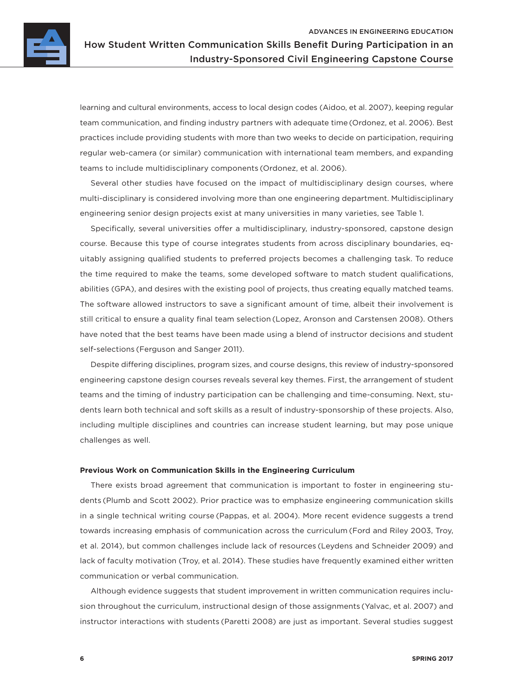

learning and cultural environments, access to local design codes (Aidoo, et al. 2007), keeping regular team communication, and finding industry partners with adequate time (Ordonez, et al. 2006). Best practices include providing students with more than two weeks to decide on participation, requiring regular web-camera (or similar) communication with international team members, and expanding teams to include multidisciplinary components (Ordonez, et al. 2006).

Several other studies have focused on the impact of multidisciplinary design courses, where multi-disciplinary is considered involving more than one engineering department. Multidisciplinary engineering senior design projects exist at many universities in many varieties, see [Table 1.](#page-3-0)

Specifically, several universities offer a multidisciplinary, industry-sponsored, capstone design course. Because this type of course integrates students from across disciplinary boundaries, equitably assigning qualified students to preferred projects becomes a challenging task. To reduce the time required to make the teams, some developed software to match student qualifications, abilities (GPA), and desires with the existing pool of projects, thus creating equally matched teams. The software allowed instructors to save a significant amount of time, albeit their involvement is still critical to ensure a quality final team selection (Lopez, Aronson and Carstensen 2008). Others have noted that the best teams have been made using a blend of instructor decisions and student self-selections (Ferguson and Sanger 2011).

Despite differing disciplines, program sizes, and course designs, this review of industry-sponsored engineering capstone design courses reveals several key themes. First, the arrangement of student teams and the timing of industry participation can be challenging and time-consuming. Next, students learn both technical and soft skills as a result of industry-sponsorship of these projects. Also, including multiple disciplines and countries can increase student learning, but may pose unique challenges as well.

#### **Previous Work on Communication Skills in the Engineering Curriculum**

There exists broad agreement that communication is important to foster in engineering students (Plumb and Scott 2002). Prior practice was to emphasize engineering communication skills in a single technical writing course (Pappas, et al. 2004). More recent evidence suggests a trend towards increasing emphasis of communication across the curriculum (Ford and Riley 2003, Troy, et al. 2014), but common challenges include lack of resources (Leydens and Schneider 2009) and lack of faculty motivation (Troy, et al. 2014). These studies have frequently examined either written communication or verbal communication.

Although evidence suggests that student improvement in written communication requires inclusion throughout the curriculum, instructional design of those assignments (Yalvac, et al. 2007) and instructor interactions with students (Paretti 2008) are just as important. Several studies suggest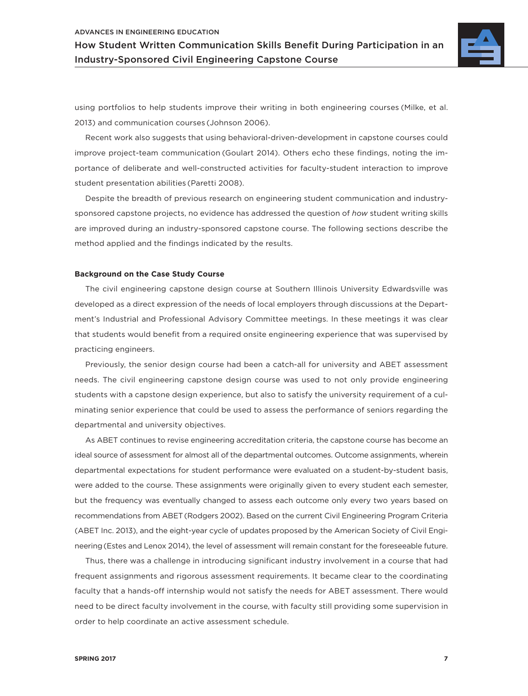#### ADVANCES IN ENGINEERING EDUCATION

How Student Written Communication Skills Benefit During Participation in an Industry-Sponsored Civil Engineering Capstone Course



using portfolios to help students improve their writing in both engineering courses (Milke, et al. 2013) and communication courses (Johnson 2006).

Recent work also suggests that using behavioral-driven-development in capstone courses could improve project-team communication (Goulart 2014). Others echo these findings, noting the importance of deliberate and well-constructed activities for faculty-student interaction to improve student presentation abilities (Paretti 2008).

Despite the breadth of previous research on engineering student communication and industrysponsored capstone projects, no evidence has addressed the question of *how* student writing skills are improved during an industry-sponsored capstone course. The following sections describe the method applied and the findings indicated by the results.

#### **Background on the Case Study Course**

The civil engineering capstone design course at Southern Illinois University Edwardsville was developed as a direct expression of the needs of local employers through discussions at the Department's Industrial and Professional Advisory Committee meetings. In these meetings it was clear that students would benefit from a required onsite engineering experience that was supervised by practicing engineers.

Previously, the senior design course had been a catch-all for university and ABET assessment needs. The civil engineering capstone design course was used to not only provide engineering students with a capstone design experience, but also to satisfy the university requirement of a culminating senior experience that could be used to assess the performance of seniors regarding the departmental and university objectives.

As ABET continues to revise engineering accreditation criteria, the capstone course has become an ideal source of assessment for almost all of the departmental outcomes. Outcome assignments, wherein departmental expectations for student performance were evaluated on a student-by-student basis, were added to the course. These assignments were originally given to every student each semester, but the frequency was eventually changed to assess each outcome only every two years based on recommendations from ABET(Rodgers 2002). Based on the current Civil Engineering Program Criteria (ABET Inc. 2013), and the eight-year cycle of updates proposed by the American Society of Civil Engineering(Estes and Lenox 2014), the level of assessment will remain constant for the foreseeable future.

Thus, there was a challenge in introducing significant industry involvement in a course that had frequent assignments and rigorous assessment requirements. It became clear to the coordinating faculty that a hands-off internship would not satisfy the needs for ABET assessment. There would need to be direct faculty involvement in the course, with faculty still providing some supervision in order to help coordinate an active assessment schedule.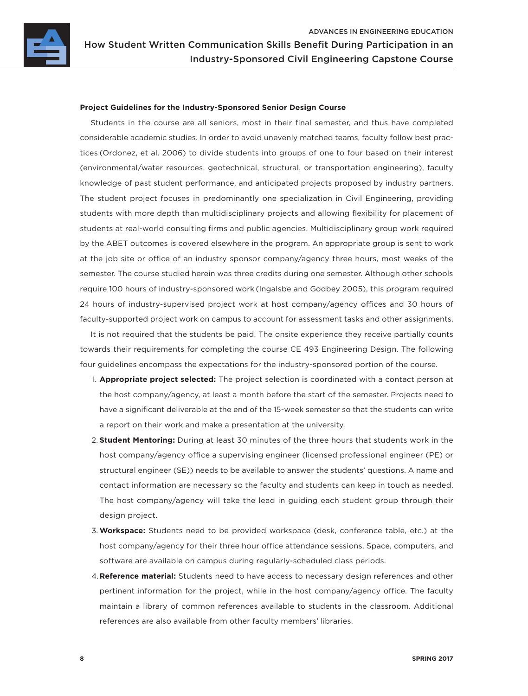

#### **Project Guidelines for the Industry-Sponsored Senior Design Course**

Students in the course are all seniors, most in their final semester, and thus have completed considerable academic studies. In order to avoid unevenly matched teams, faculty follow best practices (Ordonez, et al. 2006) to divide students into groups of one to four based on their interest (environmental/water resources, geotechnical, structural, or transportation engineering), faculty knowledge of past student performance, and anticipated projects proposed by industry partners. The student project focuses in predominantly one specialization in Civil Engineering, providing students with more depth than multidisciplinary projects and allowing flexibility for placement of students at real-world consulting firms and public agencies. Multidisciplinary group work required by the ABET outcomes is covered elsewhere in the program. An appropriate group is sent to work at the job site or office of an industry sponsor company/agency three hours, most weeks of the semester. The course studied herein was three credits during one semester. Although other schools require 100 hours of industry-sponsored work (Ingalsbe and Godbey 2005), this program required 24 hours of industry-supervised project work at host company/agency offices and 30 hours of faculty-supported project work on campus to account for assessment tasks and other assignments.

It is not required that the students be paid. The onsite experience they receive partially counts towards their requirements for completing the course CE 493 Engineering Design. The following four guidelines encompass the expectations for the industry-sponsored portion of the course.

- 1. **Appropriate project selected:** The project selection is coordinated with a contact person at the host company/agency, at least a month before the start of the semester. Projects need to have a significant deliverable at the end of the 15-week semester so that the students can write a report on their work and make a presentation at the university.
- 2. **Student Mentoring:** During at least 30 minutes of the three hours that students work in the host company/agency office a supervising engineer (licensed professional engineer (PE) or structural engineer (SE)) needs to be available to answer the students' questions. A name and contact information are necessary so the faculty and students can keep in touch as needed. The host company/agency will take the lead in guiding each student group through their design project.
- 3. **Workspace:** Students need to be provided workspace (desk, conference table, etc.) at the host company/agency for their three hour office attendance sessions. Space, computers, and software are available on campus during regularly-scheduled class periods.
- 4.**Reference material:** Students need to have access to necessary design references and other pertinent information for the project, while in the host company/agency office. The faculty maintain a library of common references available to students in the classroom. Additional references are also available from other faculty members' libraries.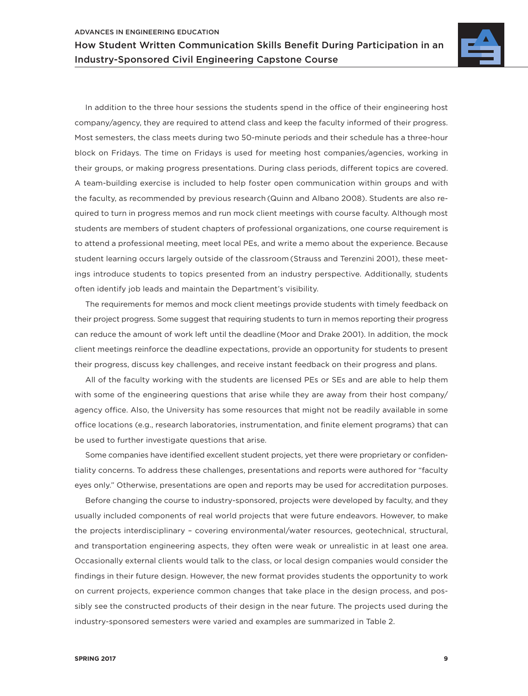

In addition to the three hour sessions the students spend in the office of their engineering host company/agency, they are required to attend class and keep the faculty informed of their progress. Most semesters, the class meets during two 50-minute periods and their schedule has a three-hour block on Fridays. The time on Fridays is used for meeting host companies/agencies, working in their groups, or making progress presentations. During class periods, different topics are covered. A team-building exercise is included to help foster open communication within groups and with the faculty, as recommended by previous research (Quinn and Albano 2008). Students are also required to turn in progress memos and run mock client meetings with course faculty. Although most students are members of student chapters of professional organizations, one course requirement is to attend a professional meeting, meet local PEs, and write a memo about the experience. Because student learning occurs largely outside of the classroom (Strauss and Terenzini 2001), these meetings introduce students to topics presented from an industry perspective. Additionally, students often identify job leads and maintain the Department's visibility.

The requirements for memos and mock client meetings provide students with timely feedback on their project progress. Some suggest that requiring students to turn in memos reporting their progress can reduce the amount of work left until the deadline (Moor and Drake 2001). In addition, the mock client meetings reinforce the deadline expectations, provide an opportunity for students to present their progress, discuss key challenges, and receive instant feedback on their progress and plans.

All of the faculty working with the students are licensed PEs or SEs and are able to help them with some of the engineering questions that arise while they are away from their host company/ agency office. Also, the University has some resources that might not be readily available in some office locations (e.g., research laboratories, instrumentation, and finite element programs) that can be used to further investigate questions that arise.

Some companies have identified excellent student projects, yet there were proprietary or confidentiality concerns. To address these challenges, presentations and reports were authored for "faculty eyes only." Otherwise, presentations are open and reports may be used for accreditation purposes.

Before changing the course to industry-sponsored, projects were developed by faculty, and they usually included components of real world projects that were future endeavors. However, to make the projects interdisciplinary – covering environmental/water resources, geotechnical, structural, and transportation engineering aspects, they often were weak or unrealistic in at least one area. Occasionally external clients would talk to the class, or local design companies would consider the findings in their future design. However, the new format provides students the opportunity to work on current projects, experience common changes that take place in the design process, and possibly see the constructed products of their design in the near future. The projects used during the industry-sponsored semesters were varied and examples are summarized in Table 2.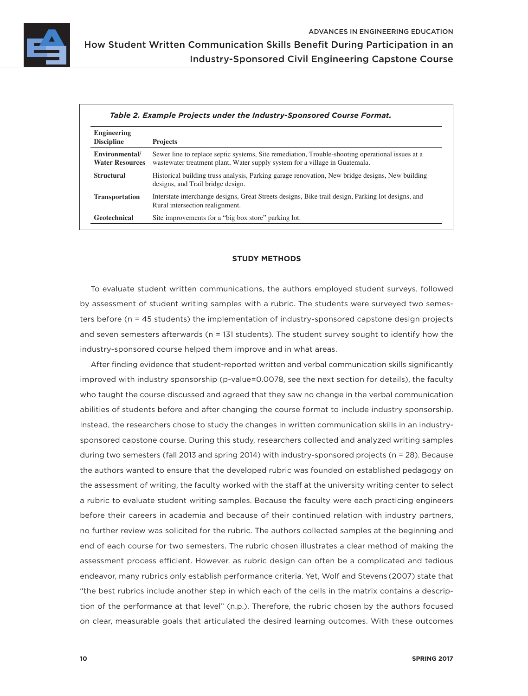

Industry-Sponsored Civil Engineering Capstone Course

| Engineering<br><b>Discipline</b>         | <b>Projects</b>                                                                                                                                                                 |
|------------------------------------------|---------------------------------------------------------------------------------------------------------------------------------------------------------------------------------|
| Environmental/<br><b>Water Resources</b> | Sewer line to replace septic systems, Site remediation, Trouble-shooting operational issues at a<br>wastewater treatment plant, Water supply system for a village in Guatemala. |
| <b>Structural</b>                        | Historical building truss analysis, Parking garage renovation, New bridge designs, New building<br>designs, and Trail bridge design.                                            |
| <b>Transportation</b>                    | Interstate interchange designs, Great Streets designs, Bike trail design, Parking lot designs, and<br>Rural intersection realignment.                                           |
| Geotechnical                             | Site improvements for a "big box store" parking lot.                                                                                                                            |

# **STUDY METHODS**

To evaluate student written communications, the authors employed student surveys, followed by assessment of student writing samples with a rubric. The students were surveyed two semesters before (n = 45 students) the implementation of industry-sponsored capstone design projects and seven semesters afterwards (n = 131 students). The student survey sought to identify how the industry-sponsored course helped them improve and in what areas.

After finding evidence that student-reported written and verbal communication skills significantly improved with industry sponsorship (p-value=0.0078, see the next section for details), the faculty who taught the course discussed and agreed that they saw no change in the verbal communication abilities of students before and after changing the course format to include industry sponsorship. Instead, the researchers chose to study the changes in written communication skills in an industrysponsored capstone course. During this study, researchers collected and analyzed writing samples during two semesters (fall 2013 and spring 2014) with industry-sponsored projects (n = 28). Because the authors wanted to ensure that the developed rubric was founded on established pedagogy on the assessment of writing, the faculty worked with the staff at the university writing center to select a rubric to evaluate student writing samples. Because the faculty were each practicing engineers before their careers in academia and because of their continued relation with industry partners, no further review was solicited for the rubric. The authors collected samples at the beginning and end of each course for two semesters. The rubric chosen illustrates a clear method of making the assessment process efficient. However, as rubric design can often be a complicated and tedious endeavor, many rubrics only establish performance criteria. Yet, Wolf and Stevens (2007) state that "the best rubrics include another step in which each of the cells in the matrix contains a description of the performance at that level" (n.p.). Therefore, the rubric chosen by the authors focused on clear, measurable goals that articulated the desired learning outcomes. With these outcomes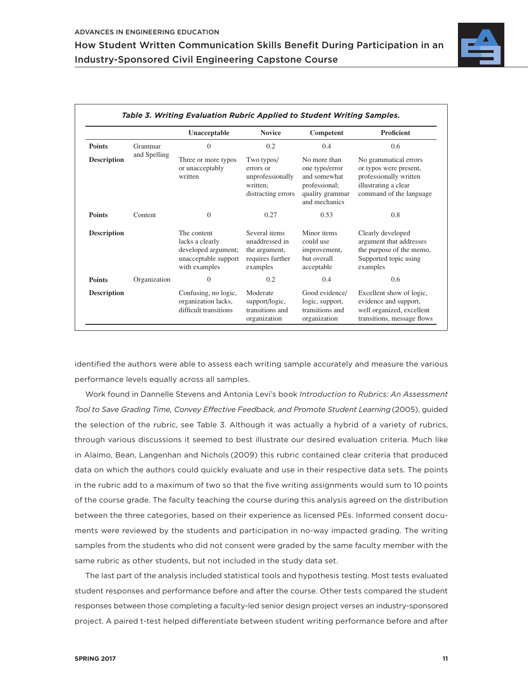<span id="page-10-0"></span>

|                    |              | Unacceptable                                                                                   | <b>Novice</b>                                                                    | Competent                                                                                           | Proficient                                                                                                                   |
|--------------------|--------------|------------------------------------------------------------------------------------------------|----------------------------------------------------------------------------------|-----------------------------------------------------------------------------------------------------|------------------------------------------------------------------------------------------------------------------------------|
| <b>Points</b>      | Grammar      | $\overline{0}$                                                                                 | 0.2                                                                              | 0.4                                                                                                 | 0.6                                                                                                                          |
| <b>Description</b> | and Spelling | Three or more typos<br>or unacceptably<br>written                                              | Two typos/<br>errors or<br>unprofessionally<br>written:<br>distracting errors    | No more than<br>one typo/error<br>and somewhat<br>professional;<br>quality grammar<br>and mechanics | No grammatical errors<br>or typos were present,<br>professionally written<br>illustrating a clear<br>command of the language |
| <b>Points</b>      | Content      | $\mathbf{0}$                                                                                   | 0.27                                                                             | 0.53                                                                                                | 0.8                                                                                                                          |
| <b>Description</b> |              | The content<br>lacks a clearly<br>developed argument;<br>unacceptable support<br>with examples | Several items<br>unaddressed in<br>the argument,<br>requires further<br>examples | Minor items<br>could use<br>improvement,<br>but overall<br>acceptable                               | Clearly developed<br>argument that addresses<br>the purpose of the memo,<br>Supported topic using<br>examples                |
| <b>Points</b>      | Organization | $\mathbf{0}$                                                                                   | 0.2                                                                              | 0.4                                                                                                 | 0.6                                                                                                                          |
| <b>Description</b> |              | Confusing, no logic,<br>organization lacks,<br>difficult transitions                           | Moderate<br>support/logic,<br>transitions and<br>organization                    | Good evidence/<br>logic, support,<br>transitions and<br>organization                                | Excellent show of logic,<br>evidence and support,<br>well organized, excellent<br>transitions, message flows                 |

identified the authors were able to assess each writing sample accurately and measure the various performance levels equally across all samples.

Work found in Dannelle Stevens and Antonia Levi's book *Introduction to Rubrics: An Assessment Tool to Save Grading Time, Convey Effective Feedback, and Promote Student Learning* (2005), guided the selection of the rubric, see [Table](#page-10-0) 3. Although it was actually a hybrid of a variety of rubrics, through various discussions it seemed to best illustrate our desired evaluation criteria. Much like in Alaimo, Bean, Langenhan and Nichols (2009) this rubric contained clear criteria that produced data on which the authors could quickly evaluate and use in their respective data sets. The points in the rubric add to a maximum of two so that the five writing assignments would sum to 10 points of the course grade. The faculty teaching the course during this analysis agreed on the distribution between the three categories, based on their experience as licensed PEs. Informed consent documents were reviewed by the students and participation in no-way impacted grading. The writing samples from the students who did not consent were graded by the same faculty member with the same rubric as other students, but not included in the study data set.

The last part of the analysis included statistical tools and hypothesis testing. Most tests evaluated student responses and performance before and after the course. Other tests compared the student responses between those completing a faculty-led senior design project verses an industry-sponsored project. A paired t-test helped differentiate between student writing performance before and after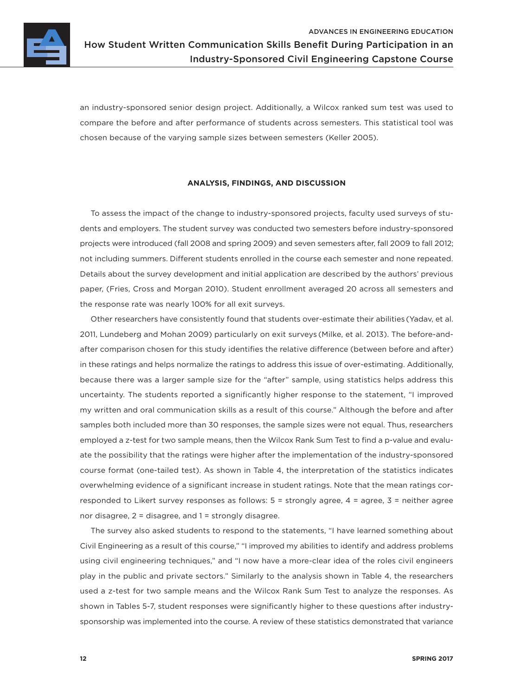

Industry-Sponsored Civil Engineering Capstone Course

an industry-sponsored senior design project. Additionally, a Wilcox ranked sum test was used to compare the before and after performance of students across semesters. This statistical tool was chosen because of the varying sample sizes between semesters (Keller 2005).

## **ANALYSIS, FINDINGS, AND DISCUSSION**

To assess the impact of the change to industry-sponsored projects, faculty used surveys of students and employers. The student survey was conducted two semesters before industry-sponsored projects were introduced (fall 2008 and spring 2009) and seven semesters after, fall 2009 to fall 2012; not including summers. Different students enrolled in the course each semester and none repeated. Details about the survey development and initial application are described by the authors' previous paper, (Fries, Cross and Morgan 2010). Student enrollment averaged 20 across all semesters and the response rate was nearly 100% for all exit surveys.

Other researchers have consistently found that students over-estimate their abilities (Yadav, et al. 2011, Lundeberg and Mohan 2009) particularly on exit surveys (Milke, et al. 2013). The before-andafter comparison chosen for this study identifies the relative difference (between before and after) in these ratings and helps normalize the ratings to address this issue of over-estimating. Additionally, because there was a larger sample size for the "after" sample, using statistics helps address this uncertainty. The students reported a significantly higher response to the statement, "I improved my written and oral communication skills as a result of this course." Although the before and after samples both included more than 30 responses, the sample sizes were not equal. Thus, researchers employed a z-test for two sample means, then the Wilcox Rank Sum Test to find a p-value and evaluate the possibility that the ratings were higher after the implementation of the industry-sponsored course format (one-tailed test). As shown in [Table](#page-12-0) 4, the interpretation of the statistics indicates overwhelming evidence of a significant increase in student ratings. Note that the mean ratings corresponded to Likert survey responses as follows: 5 = strongly agree, 4 = agree, 3 = neither agree nor disagree, 2 = disagree, and 1 = strongly disagree.

The survey also asked students to respond to the statements, "I have learned something about Civil Engineering as a result of this course," "I improved my abilities to identify and address problems using civil engineering techniques," and "I now have a more-clear idea of the roles civil engineers play in the public and private sectors." Similarly to the analysis shown in Table 4, the researchers used a z-test for two sample means and the Wilcox Rank Sum Test to analyze the responses. As shown in Tables 5-7, student responses were significantly higher to these questions after industrysponsorship was implemented into the course. A review of these statistics demonstrated that variance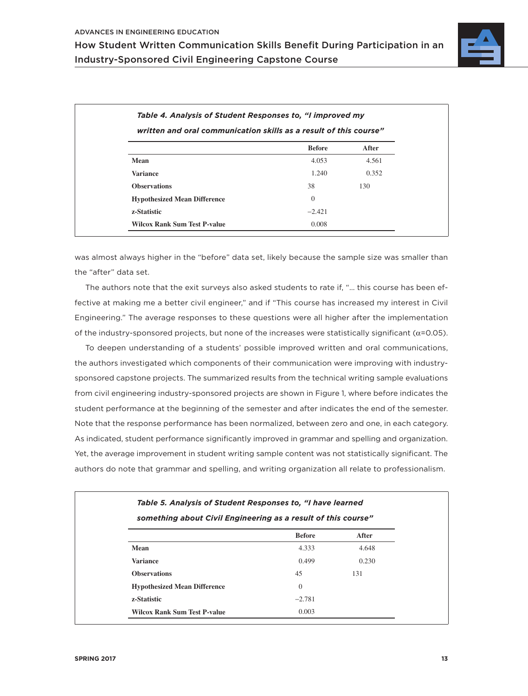

<span id="page-12-0"></span>

| written and oral communication skills as a result of this course" |               |       |  |  |
|-------------------------------------------------------------------|---------------|-------|--|--|
|                                                                   | <b>Before</b> | After |  |  |
| Mean                                                              | 4.053         | 4.561 |  |  |
| <b>Variance</b>                                                   | 1.240         | 0.352 |  |  |
| <b>Observations</b>                                               | 38            | 130   |  |  |
| <b>Hypothesized Mean Difference</b>                               | $\Omega$      |       |  |  |
| z-Statistic                                                       | $-2.421$      |       |  |  |
| <b>Wilcox Rank Sum Test P-value</b>                               | 0.008         |       |  |  |

was almost always higher in the "before" data set, likely because the sample size was smaller than the "after" data set.

The authors note that the exit surveys also asked students to rate if, "… this course has been effective at making me a better civil engineer," and if "This course has increased my interest in Civil Engineering." The average responses to these questions were all higher after the implementation of the industry-sponsored projects, but none of the increases were statistically significant ( $\alpha$ =0.05).

To deepen understanding of a students' possible improved written and oral communications, the authors investigated which components of their communication were improving with industrysponsored capstone projects. The summarized results from the technical writing sample evaluations from civil engineering industry-sponsored projects are shown in [Figure 1](#page-14-0), where before indicates the student performance at the beginning of the semester and after indicates the end of the semester. Note that the response performance has been normalized, between zero and one, in each category. As indicated, student performance significantly improved in grammar and spelling and organization. Yet, the average improvement in student writing sample content was not statistically significant. The authors do note that grammar and spelling, and writing organization all relate to professionalism.

| something about Civil Engineering as a result of this course" |                |       |  |  |
|---------------------------------------------------------------|----------------|-------|--|--|
|                                                               | <b>Before</b>  | After |  |  |
| Mean                                                          | 4.333          | 4.648 |  |  |
| <b>Variance</b>                                               | 0.499          | 0.230 |  |  |
| <b>Observations</b>                                           | 45             | 131   |  |  |
| <b>Hypothesized Mean Difference</b>                           | $\overline{0}$ |       |  |  |
| z-Statistic                                                   | $-2.781$       |       |  |  |
| <b>Wilcox Rank Sum Test P-value</b>                           | 0.003          |       |  |  |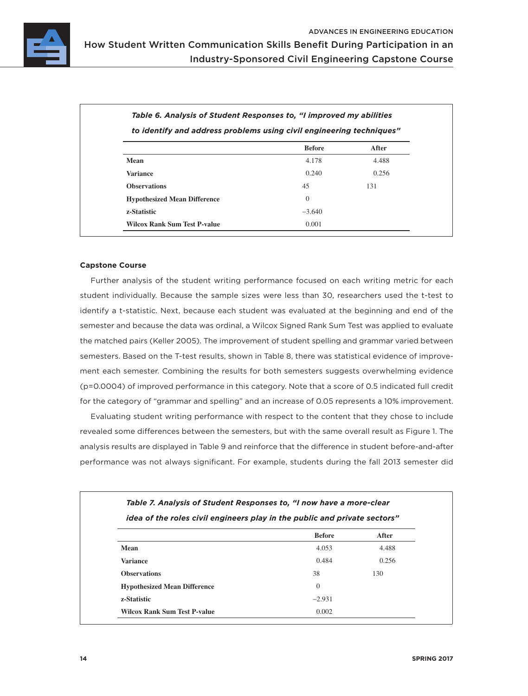

|                                     | <b>Before</b>  | After |
|-------------------------------------|----------------|-------|
| Mean                                | 4.178          | 4.488 |
| <b>Variance</b>                     | 0.240          | 0.256 |
| <b>Observations</b>                 | 45             | 131   |
| <b>Hypothesized Mean Difference</b> | $\overline{0}$ |       |
| z-Statistic                         | $-3.640$       |       |
| <b>Wilcox Rank Sum Test P-value</b> | 0.001          |       |

# **Capstone Course**

Further analysis of the student writing performance focused on each writing metric for each student individually. Because the sample sizes were less than 30, researchers used the t-test to identify a t-statistic. Next, because each student was evaluated at the beginning and end of the semester and because the data was ordinal, a Wilcox Signed Rank Sum Test was applied to evaluate the matched pairs (Keller 2005). The improvement of student spelling and grammar varied between semesters. Based on the T-test results, shown in [Table 8,](#page-14-1) there was statistical evidence of improvement each semester. Combining the results for both semesters suggests overwhelming evidence (p=0.0004) of improved performance in this category. Note that a score of 0.5 indicated full credit for the category of "grammar and spelling" and an increase of 0.05 represents a 10% improvement.

Evaluating student writing performance with respect to the content that they chose to include revealed some differences between the semesters, but with the same overall result as [Figure 1.](#page-14-0) The analysis results are displayed in Table 9 and reinforce that the difference in student before-and-after performance was not always significant. For example, students during the fall 2013 semester did

|                                     | idea of the roles civil engineers play in the public and private sectors" |       |  |  |
|-------------------------------------|---------------------------------------------------------------------------|-------|--|--|
|                                     | <b>Before</b>                                                             | After |  |  |
| Mean                                | 4.053                                                                     | 4.488 |  |  |
| <b>Variance</b>                     | 0.484                                                                     | 0.256 |  |  |
| <b>Observations</b>                 | 38                                                                        | 130   |  |  |
| <b>Hypothesized Mean Difference</b> | $\theta$                                                                  |       |  |  |
| z-Statistic                         | $-2.931$                                                                  |       |  |  |
| <b>Wilcox Rank Sum Test P-value</b> | 0.002                                                                     |       |  |  |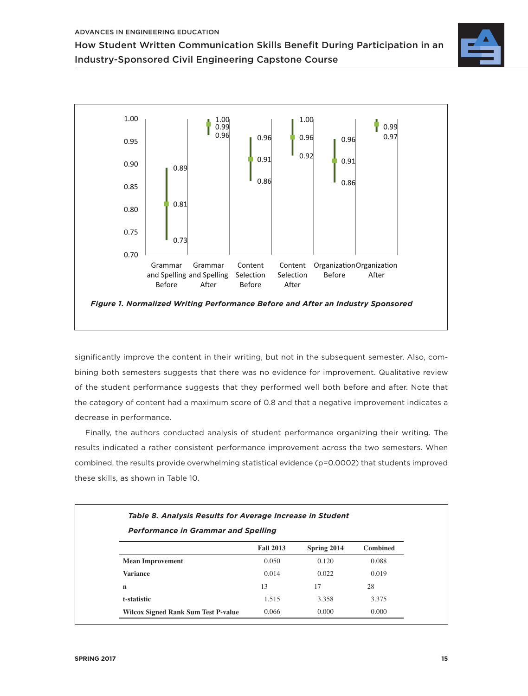



<span id="page-14-0"></span>significantly improve the content in their writing, but not in the subsequent semester. Also, combining both semesters suggests that there was no evidence for improvement. Qualitative review of the student performance suggests that they performed well both before and after. Note that the category of content had a maximum score of 0.8 and that a negative improvement indicates a decrease in performance.

Finally, the authors conducted analysis of student performance organizing their writing. The results indicated a rather consistent performance improvement across the two semesters. When combined, the results provide overwhelming statistical evidence (p=0.0002) that students improved these skills, as shown in Table 10.

<span id="page-14-1"></span>

| <b>Performance in Grammar and Spelling</b> |                  |             |                 |  |
|--------------------------------------------|------------------|-------------|-----------------|--|
|                                            | <b>Fall 2013</b> | Spring 2014 | <b>Combined</b> |  |
| <b>Mean Improvement</b>                    | 0.050            | 0.120       | 0.088           |  |
| <b>Variance</b>                            | 0.014            | 0.022       | 0.019           |  |
| $\mathbf n$                                | 13               | 17          | 28              |  |
| t-statistic                                | 1.515            | 3.358       | 3.375           |  |
| <b>Wilcox Signed Rank Sum Test P-value</b> | 0.066            | 0.000       | 0.000           |  |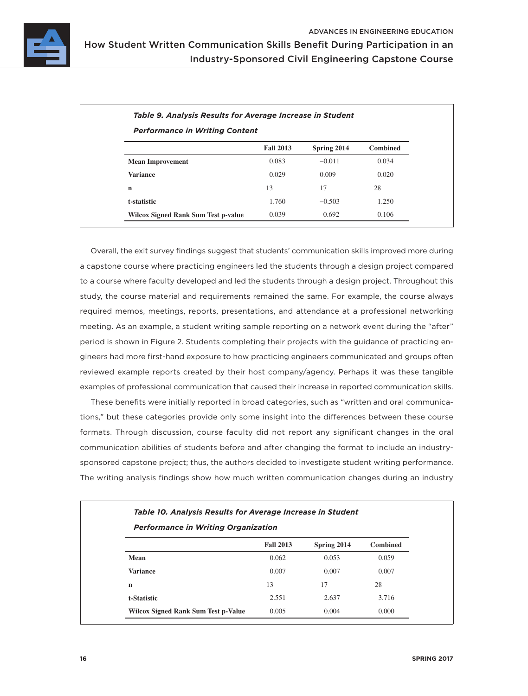

| <b>Performance in Writing Content</b>      |                  |             |                 |  |
|--------------------------------------------|------------------|-------------|-----------------|--|
|                                            | <b>Fall 2013</b> | Spring 2014 | <b>Combined</b> |  |
| <b>Mean Improvement</b>                    | 0.083            | $-0.011$    | 0.034           |  |
| <b>Variance</b>                            | 0.029            | 0.009       | 0.020           |  |
| n                                          | 13               | 17          | 28              |  |
| t-statistic                                | 1.760            | $-0.503$    | 1.250           |  |
| <b>Wilcox Signed Rank Sum Test p-value</b> | 0.039            | 0.692       | 0.106           |  |

Overall, the exit survey findings suggest that students' communication skills improved more during a capstone course where practicing engineers led the students through a design project compared to a course where faculty developed and led the students through a design project. Throughout this study, the course material and requirements remained the same. For example, the course always required memos, meetings, reports, presentations, and attendance at a professional networking meeting. As an example, a student writing sample reporting on a network event during the "after" period is shown in [Figure 2.](#page-16-0) Students completing their projects with the guidance of practicing engineers had more first-hand exposure to how practicing engineers communicated and groups often reviewed example reports created by their host company/agency. Perhaps it was these tangible examples of professional communication that caused their increase in reported communication skills.

These benefits were initially reported in broad categories, such as "written and oral communications," but these categories provide only some insight into the differences between these course formats. Through discussion, course faculty did not report any significant changes in the oral communication abilities of students before and after changing the format to include an industrysponsored capstone project; thus, the authors decided to investigate student writing performance. The writing analysis findings show how much written communication changes during an industry

| <b>Performance in Writing Organization</b> |                  |             |          |  |
|--------------------------------------------|------------------|-------------|----------|--|
|                                            | <b>Fall 2013</b> | Spring 2014 | Combined |  |
| Mean                                       | 0.062            | 0.053       | 0.059    |  |
| <b>Variance</b>                            | 0.007            | 0.007       | 0.007    |  |
| $\mathbf n$                                | 13               | 17          | 28       |  |
| t-Statistic                                | 2.551            | 2.637       | 3.716    |  |
| <b>Wilcox Signed Rank Sum Test p-Value</b> | 0.005            | 0.004       | 0.000    |  |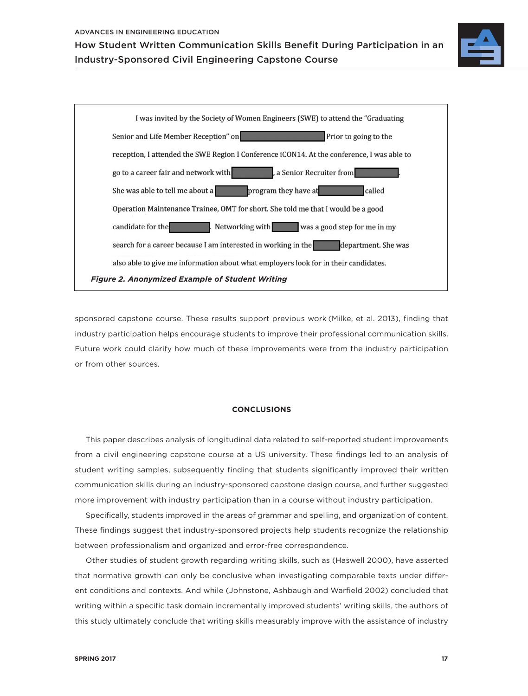



<span id="page-16-0"></span>sponsored capstone course. These results support previous work (Milke, et al. 2013), finding that industry participation helps encourage students to improve their professional communication skills. Future work could clarify how much of these improvements were from the industry participation or from other sources.

# **CONCLUSIONS**

This paper describes analysis of longitudinal data related to self-reported student improvements from a civil engineering capstone course at a US university. These findings led to an analysis of student writing samples, subsequently finding that students significantly improved their written communication skills during an industry-sponsored capstone design course, and further suggested more improvement with industry participation than in a course without industry participation.

Specifically, students improved in the areas of grammar and spelling, and organization of content. These findings suggest that industry-sponsored projects help students recognize the relationship between professionalism and organized and error-free correspondence.

Other studies of student growth regarding writing skills, such as (Haswell 2000), have asserted that normative growth can only be conclusive when investigating comparable texts under different conditions and contexts. And while (Johnstone, Ashbaugh and Warfield 2002) concluded that writing within a specific task domain incrementally improved students' writing skills, the authors of this study ultimately conclude that writing skills measurably improve with the assistance of industry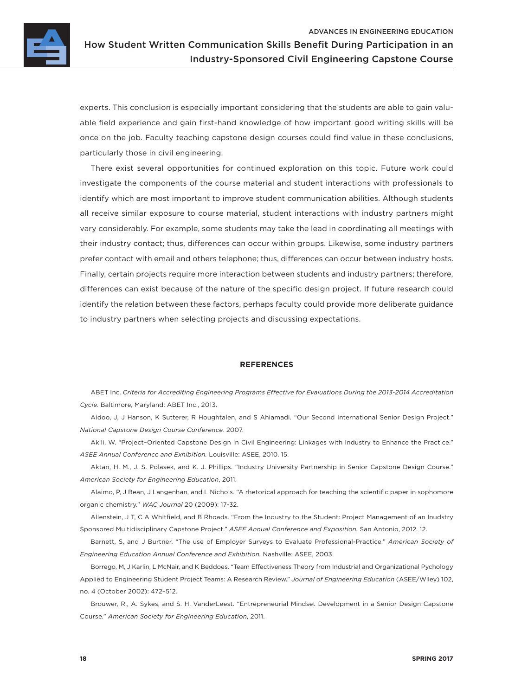

experts. This conclusion is especially important considering that the students are able to gain valuable field experience and gain first-hand knowledge of how important good writing skills will be once on the job. Faculty teaching capstone design courses could find value in these conclusions, particularly those in civil engineering.

There exist several opportunities for continued exploration on this topic. Future work could investigate the components of the course material and student interactions with professionals to identify which are most important to improve student communication abilities. Although students all receive similar exposure to course material, student interactions with industry partners might vary considerably. For example, some students may take the lead in coordinating all meetings with their industry contact; thus, differences can occur within groups. Likewise, some industry partners prefer contact with email and others telephone; thus, differences can occur between industry hosts. Finally, certain projects require more interaction between students and industry partners; therefore, differences can exist because of the nature of the specific design project. If future research could identify the relation between these factors, perhaps faculty could provide more deliberate guidance to industry partners when selecting projects and discussing expectations.

#### **REFERENCES**

ABET Inc. *Criteria for Accrediting Engineering Programs Effective for Evaluations During the 2013-2014 Accreditation Cycle.* Baltimore, Maryland: ABET Inc., 2013.

Aidoo, J, J Hanson, K Sutterer, R Houghtalen, and S Ahiamadi. "Our Second International Senior Design Project." *National Capstone Design Course Conference.* 2007.

Akili, W. "Project–Oriented Capstone Design in Civil Engineering: Linkages with Industry to Enhance the Practice." *ASEE Annual Conference and Exhibition.* Louisville: ASEE, 2010. 15.

Aktan, H. M., J. S. Polasek, and K. J. Phillips. "Industry University Partnership in Senior Capstone Design Course." *American Society for Engineering Education*, 2011.

Alaimo, P, J Bean, J Langenhan, and L Nichols. "A rhetorical approach for teaching the scientific paper in sophomore organic chemistry." *WAC Journal* 20 (2009): 17-32.

Allenstein, J T, C A Whitfield, and B Rhoads. "From the Industry to the Student: Project Management of an Inudstry Sponsored Multidisciplinary Capstone Project." *ASEE Annual Conference and Exposition.* San Antonio, 2012. 12.

Barnett, S, and J Burtner. "The use of Employer Surveys to Evaluate Professional-Practice." *American Society of Engineering Education Annual Conference and Exhibition.* Nashville: ASEE, 2003.

Borrego, M, J Karlin, L McNair, and K Beddoes. "Team Effectiveness Theory from Industrial and Organizational Pychology Applied to Engineering Student Project Teams: A Research Review." *Journal of Engineering Education* (ASEE/Wiley) 102, no. 4 (October 2002): 472–512.

Brouwer, R., A. Sykes, and S. H. VanderLeest. "Entrepreneurial Mindset Development in a Senior Design Capstone Course." *American Society for Engineering Education*, 2011.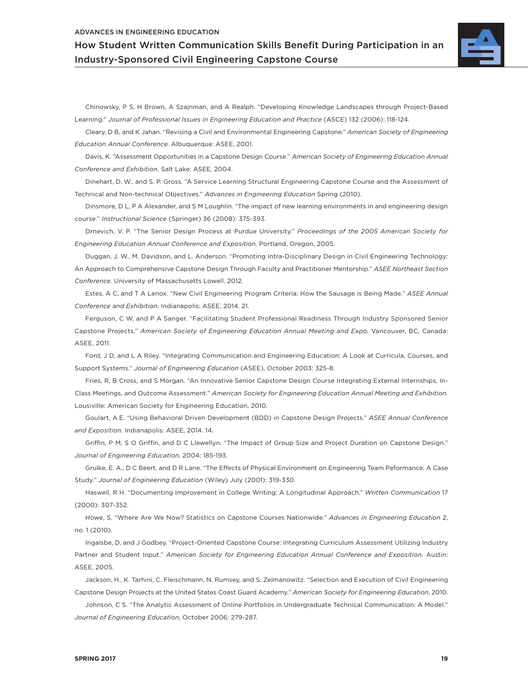#### ADVANCES IN ENGINEERING EDUCATION

How Student Written Communication Skills Benefit During Participation in an Industry-Sponsored Civil Engineering Capstone Course



Chinowsky, P S, H Brown, A Szajnman, and A Realph. "Developing Knowledge Landscapes through Project-Based Learning." *Journal of Professional Issues in Engineering Education and Practice* (ASCE) 132 (2006): 118-124.

Cleary, D B, and K Jahan. "Revising a Civil and Environmental Engineering Capstone." *American Society of Engineering Education Annual Conference.* Albuquerque: ASEE, 2001.

Davis, K. "Assessment Opportunities in a Capstone Design Course." *American Society of Engineering Education Annual Conference and Exhibition.* Salt Lake: ASEE, 2004.

Dinehart, D. W., and S. P. Gross. "A Service Learning Structural Engineering Capstone Course and the Assessment of Technical and Non-technical Objectives." *Advances in Engineering Education* Spring (2010).

Dinsmore, D L, P A Alexander, and S M Loughlin. "The impact of new learning environments in and engineering design course." *Instructional Science* (Springer) 36 (2008): 375-393.

Drnevich, V. P. "The Senior Design Process at Purdue University." *Proceedings of the 2005 American Society for Engineering Education Annual Conference and Exposition.* Portland, Oregon, 2005.

Duggan, J. W., M. Davidson, and L. Anderson. "Promoting Intra-Disciplinary Design in Civil Engineering Technology: An Approach to Comprehensive Capstone Design Through Faculty and Practitioner Mentorship." *ASEE Northeast Section Conference.* University of Massachusetts Lowell, 2012.

Estes, A C, and T A Lenox. "New Civil Engineering Program Criteria: How the Sausage is Being Made." *ASEE Annual Conference and Exhibition.* Indianapolis: ASEE, 2014. 21.

Ferguson, C W, and P A Sanger. "Facilitating Student Professional Readiness Through Industry Sponsored Senior Capstone Projects." *American Society of Engineering Education Annual Meeting and Expo.* Vancouver, BC, Canada: ASEE, 2011.

Ford, J D, and L A Riley. "Integrating Communication and Engineering Education: A Look at Curricula, Courses, and Support Systems." *Journal of Engineering Education* (ASEE), October 2003: 325-8.

Fries, R, B Cross, and S Morgan. "An Innovative Senior Capstone Design Course Integrating External Internships, In-Class Meetings, and Outcome Assessment." *American Society for Engineering Education Annual Meeting and Exhibition.* Lousiville: American Society for Engineering Education, 2010.

Goulart, A.E. "Using Behavioral Driven Development (BDD) in Capstone Design Projects." *ASEE Annual Conference and Exposition.* Indianapolis: ASEE, 2014. 14.

Griffin, P M, S O Griffin, and D C Llewellyn. "The Impact of Group Size and Project Duration on Capstone Design." *Journal of Engineering Education*, 2004: 185-193.

Grulke, E. A., D C Beert, and D R Lane. "The Effects of Physical Environment on Engineering Team Peformance: A Case Study." *Journal of Engineering Education* (Wiley) July (2001): 319-330.

Haswell, R H. "Documenting Improvement in College Writing: A Longitudinal Approach." *Written Communication* 17 (2000): 307-352.

Howe, S. "Where Are We Now? Statistics on Capstone Courses Nationwide." *Advances in Engineering Education* 2, no. 1 (2010).

Ingalsbe, D, and J Godbey. "Project-Oriented Capstone Course: Integrating Curriculum Assessment Utilizing Industry Partner and Student Input." *American Society for Engineering Education Annual Conference and Exposition.* Austin: ASEE, 2005.

Jackson, H., K. Tarhini, C. Fleischmann, N. Rumsey, and S. Zelmanowitz. "Selection and Execution of Civil Engineering Capstone Design Projects at the United States Coast Guard Academy." *American Society for Engineering Education*, 2010.

Johnson, C S. "The Analytic Assessment of Online Portfolios in Undergraduate Technical Communication: A Model." *Journal of Engineering Education*, October 2006: 279-287.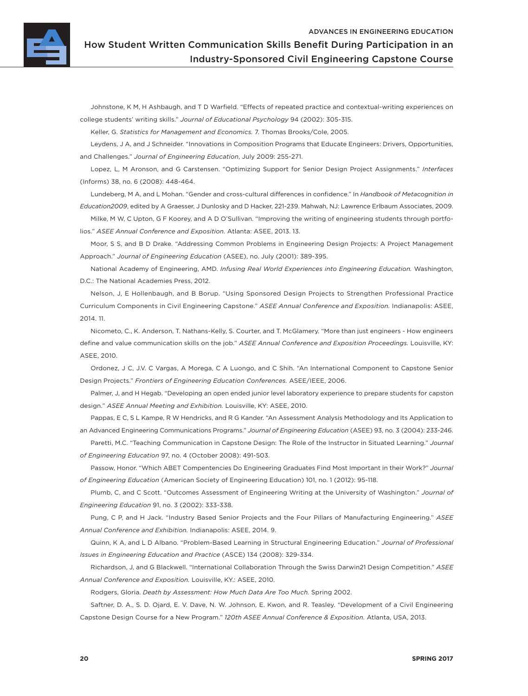

Johnstone, K M, H Ashbaugh, and T D Warfield. "Effects of repeated practice and contextual-writing experiences on college students' writing skills." *Journal of Educational Psychology* 94 (2002): 305-315.

Keller, G. *Statistics for Management and Economics.* 7. Thomas Brooks/Cole, 2005.

Leydens, J A, and J Schneider. "Innovations in Composition Programs that Educate Engineers: Drivers, Opportunities, and Challenges." *Journal of Engineering Education*, July 2009: 255-271.

Lopez, L, M Aronson, and G Carstensen. "Optimizing Support for Senior Design Project Assignments." *Interfaces* (Informs) 38, no. 6 (2008): 448-464.

Lundeberg, M A, and L Mohan. "Gender and cross-cultural differences in confidence." In *Handbook of Metacognition in Education2009*, edited by A Graesser, J Dunlosky and D Hacker, 221-239. Mahwah, NJ: Lawrence Erlbaum Associates, 2009.

Milke, M W, C Upton, G F Koorey, and A D O'Sullivan. "Improving the writing of engineering students through portfolios." *ASEE Annual Conference and Exposition.* Atlanta: ASEE, 2013. 13.

Moor, S S, and B D Drake. "Addressing Common Problems in Engineering Design Projects: A Project Management Approach." *Journal of Engineering Education* (ASEE), no. July (2001): 389-395.

National Academy of Engineering, AMD. *Infusing Real World Experiences into Engineering Education.* Washington, D.C.: The National Academies Press, 2012.

Nelson, J, E Hollenbaugh, and B Borup. "Using Sponsored Design Projects to Strengthen Professional Practice Curriculum Components in Civil Engineering Capstone." *ASEE Annual Conference and Exposition.* Indianapolis: ASEE, 2014. 11.

Nicometo, C., K. Anderson, T. Nathans-Kelly, S. Courter, and T. McGlamery. "More than just engineers - How engineers define and value communication skills on the job." *ASEE Annual Conference and Exposition Proceedings.* Louisville, KY: ASEE, 2010.

Ordonez, J C, J.V. C Vargas, A Morega, C A Luongo, and C Shih. "An International Component to Capstone Senior Design Projects." *Frontiers of Engineering Education Conferences.* ASEE/IEEE, 2006.

Palmer, J, and H Hegab. "Developing an open ended junior level laboratory experience to prepare students for capston design." *ASEE Annual Meeting and Exhibition.* Louisville, KY: ASEE, 2010.

Pappas, E C, S L Kampe, R W Hendricks, and R G Kander. "An Assessment Analysis Methodology and Its Application to an Advanced Engineering Communications Programs." *Journal of Engineering Education* (ASEE) 93, no. 3 (2004): 233-246.

Paretti, M.C. "Teaching Communication in Capstone Design: The Role of the Instructor in Situated Learning." *Journal of Engineering Education* 97, no. 4 (October 2008): 491-503.

Passow, Honor. "Which ABET Compentencies Do Engineering Graduates Find Most Important in their Work?" *Journal of Engineering Education* (American Society of Engineering Education) 101, no. 1 (2012): 95-118.

Plumb, C, and C Scott. "Outcomes Assessment of Engineering Writing at the University of Washington." *Journal of Engineering Education* 91, no. 3 (2002): 333-338.

Pung, C P, and H Jack. "Industry Based Senior Projects and the Four Pillars of Manufacturing Engineering." *ASEE Annual Conference and Exhibition.* Indianapolis: ASEE, 2014. 9.

Quinn, K A, and L D Albano. "Problem-Based Learning in Structural Engineering Education." *Journal of Professional Issues in Engineering Education and Practice* (ASCE) 134 (2008): 329-334.

Richardson, J, and G Blackwell. "International Collaboration Through the Swiss Darwin21 Design Competition." *ASEE Annual Conference and Exposition.* Louisville, KY.: ASEE, 2010.

Rodgers, Gloria. *Death by Assessment: How Much Data Are Too Much.* Spring 2002.

Saftner, D. A., S. D. Ojard, E. V. Dave, N. W. Johnson, E. Kwon, and R. Teasley. "Development of a Civil Engineering Capstone Design Course for a New Program." *120th ASEE Annual Conference & Exposition.* Atlanta, USA, 2013.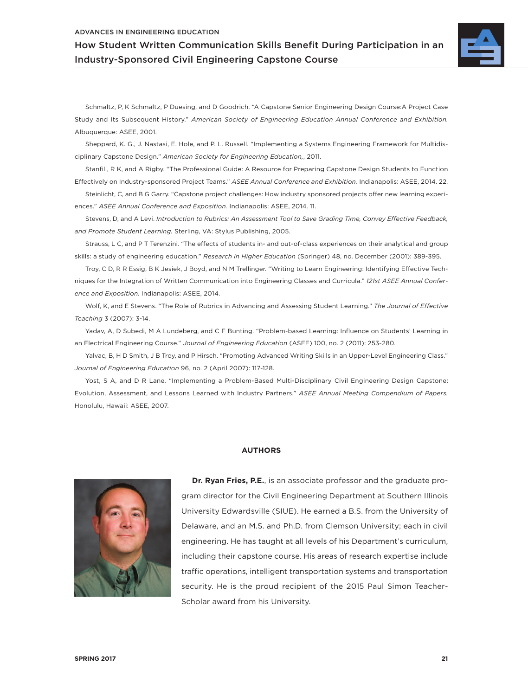#### ADVANCES IN ENGINEERING EDUCATION

How Student Written Communication Skills Benefit During Participation in an Industry-Sponsored Civil Engineering Capstone Course



Schmaltz, P, K Schmaltz, P Duesing, and D Goodrich. "A Capstone Senior Engineering Design Course:A Project Case Study and Its Subsequent History." *American Society of Engineering Education Annual Conference and Exhibition.* Albuquerque: ASEE, 2001.

Sheppard, K. G., J. Nastasi, E. Hole, and P. L. Russell. "Implementing a Systems Engineering Framework for Multidisciplinary Capstone Design." *American Society for Engineering Education,*, 2011.

Stanfill, R K, and A Rigby. "The Professional Guide: A Resource for Preparing Capstone Design Students to Function Effectively on Industry-sponsored Project Teams." *ASEE Annual Conference and Exhibition.* Indianapolis: ASEE, 2014. 22.

Steinlicht, C, and B G Garry. "Capstone project challenges: How industry sponsored projects offer new learning experiences." *ASEE Annual Conference and Exposition.* Indianapolis: ASEE, 2014. 11.

Stevens, D, and A Levi. *Introduction to Rubrics: An Assessment Tool to Save Grading Time, Convey Effective Feedback, and Promote Student Learning.* Sterling, VA: Stylus Publishing, 2005.

Strauss, L C, and P T Terenzini. "The effects of students in- and out-of-class experiences on their analytical and group skills: a study of engineering education." *Research in Higher Education* (Springer) 48, no. December (2001): 389-395.

Troy, C D, R R Essig, B K Jesiek, J Boyd, and N M Trellinger. "Writing to Learn Engineering: Identifying Effective Techniques for the Integration of Written Communication into Engineering Classes and Curricula." *121st ASEE Annual Conference and Exposition.* Indianapolis: ASEE, 2014.

Wolf, K, and E Stevens. "The Role of Rubrics in Advancing and Assessing Student Learning." *The Journal of Effective Teaching* 3 (2007): 3-14.

Yadav, A, D Subedi, M A Lundeberg, and C F Bunting. "Problem-based Learning: Influence on Students' Learning in an Electrical Engineering Course." *Journal of Engineering Education* (ASEE) 100, no. 2 (2011): 253-280.

Yalvac, B, H D Smith, J B Troy, and P Hirsch. "Promoting Advanced Writing Skills in an Upper-Level Engineering Class." *Journal of Engineering Education* 96, no. 2 (April 2007): 117-128.

Yost, S A, and D R Lane. "Implementing a Problem-Based Multi-Disciplinary Civil Engineering Design Capstone: Evolution, Assessment, and Lessons Learned with Industry Partners." *ASEE Annual Meeting Compendium of Papers.* Honolulu, Hawaii: ASEE, 2007.

#### **AUTHORS**



**Dr. Ryan Fries, P.E.**, is an associate professor and the graduate program director for the Civil Engineering Department at Southern Illinois University Edwardsville (SIUE). He earned a B.S. from the University of Delaware, and an M.S. and Ph.D. from Clemson University; each in civil engineering. He has taught at all levels of his Department's curriculum, including their capstone course. His areas of research expertise include traffic operations, intelligent transportation systems and transportation security. He is the proud recipient of the 2015 Paul Simon Teacher-Scholar award from his University.